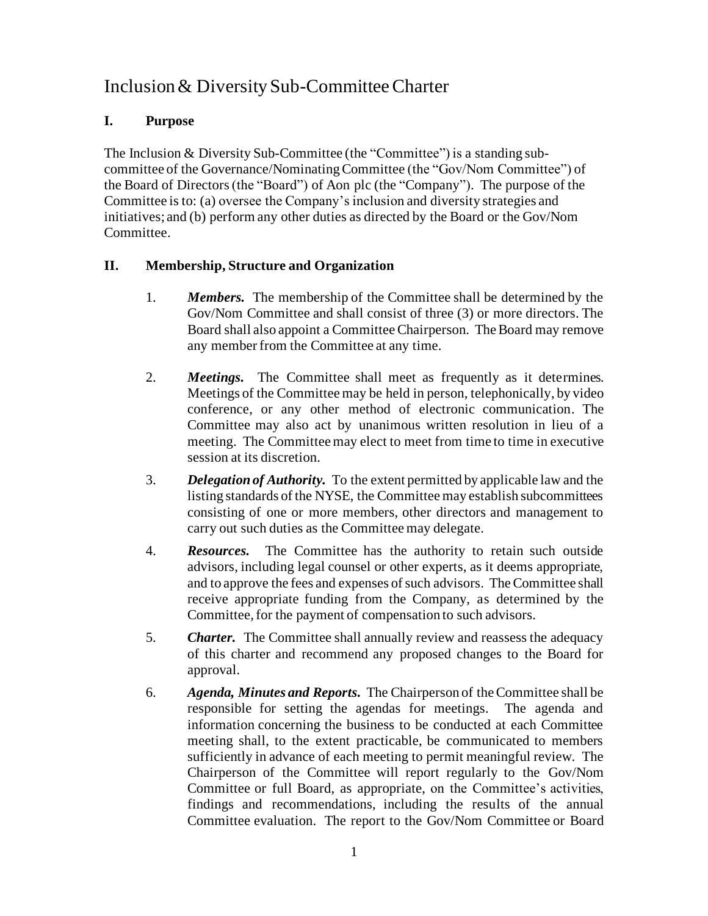## Inclusion & Diversity Sub-Committee Charter

## **I. Purpose**

The Inclusion & Diversity Sub-Committee (the "Committee") is a standing subcommittee of the Governance/Nominating Committee (the "Gov/Nom Committee") of the Board of Directors (the "Board") of Aon plc (the "Company"). The purpose of the Committee is to: (a) oversee the Company's inclusion and diversity strategies and initiatives; and (b) perform any other duties as directed by the Board or the Gov/Nom Committee.

## **II. Membership, Structure and Organization**

- 1. *Members.* The membership of the Committee shall be determined by the Gov/Nom Committee and shall consist of three (3) or more directors. The Board shall also appoint a Committee Chairperson. The Board may remove any member from the Committee at any time.
- 2. *Meetings.* The Committee shall meet as frequently as it determines. Meetings of the Committee may be held in person, telephonically, by video conference, or any other method of electronic communication. The Committee may also act by unanimous written resolution in lieu of a meeting. The Committee may elect to meet from time to time in executive session at its discretion.
- 3. *Delegation of Authority.* To the extent permitted by applicable law and the listing standards of the NYSE, the Committee may establish subcommittees consisting of one or more members, other directors and management to carry out such duties as the Committee may delegate.
- 4. *Resources.* The Committee has the authority to retain such outside advisors, including legal counsel or other experts, as it deems appropriate, and to approve the fees and expenses of such advisors. The Committee shall receive appropriate funding from the Company, as determined by the Committee, for the payment of compensation to such advisors.
- 5. *Charter.* The Committee shall annually review and reassess the adequacy of this charter and recommend any proposed changes to the Board for approval.
- 6. *Agenda, Minutes and Reports.* The Chairperson of the Committee shall be responsible for setting the agendas for meetings. The agenda and information concerning the business to be conducted at each Committee meeting shall, to the extent practicable, be communicated to members sufficiently in advance of each meeting to permit meaningful review. The Chairperson of the Committee will report regularly to the Gov/Nom Committee or full Board, as appropriate, on the Committee's activities, findings and recommendations, including the results of the annual Committee evaluation. The report to the Gov/Nom Committee or Board